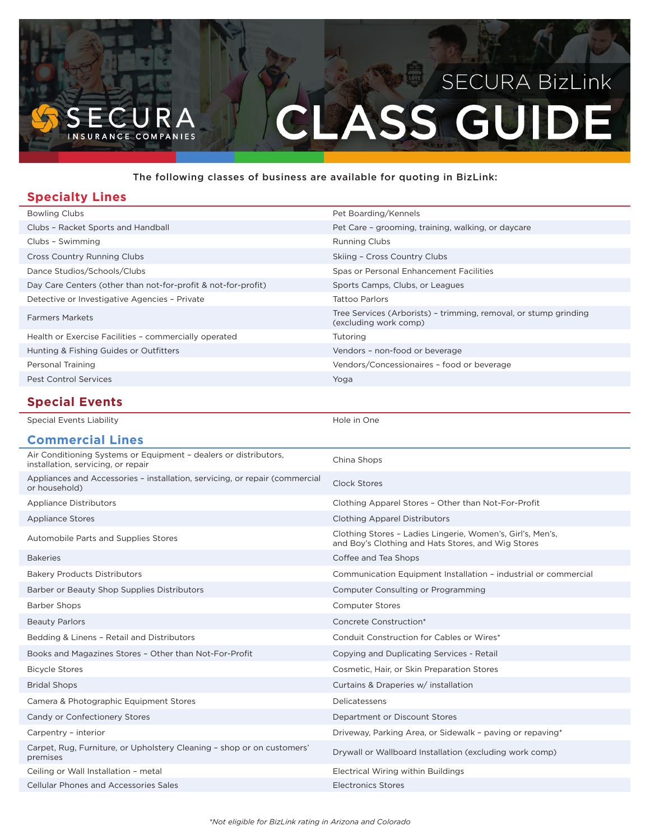# **ASS GUIDE** NSURANCE COMPANIES

#### The following classes of business are available for quoting in BizLink:

## **Specialty Lines**

| <b>Bowling Clubs</b>                                          | Pet Boarding/Kennels                                                                      |
|---------------------------------------------------------------|-------------------------------------------------------------------------------------------|
| Clubs - Racket Sports and Handball                            | Pet Care - grooming, training, walking, or daycare                                        |
| Clubs - Swimming                                              | <b>Running Clubs</b>                                                                      |
| <b>Cross Country Running Clubs</b>                            | Skiing - Cross Country Clubs                                                              |
| Dance Studios/Schools/Clubs                                   | Spas or Personal Enhancement Facilities                                                   |
| Day Care Centers (other than not-for-profit & not-for-profit) | Sports Camps, Clubs, or Leagues                                                           |
| Detective or Investigative Agencies - Private                 | Tattoo Parlors                                                                            |
| <b>Farmers Markets</b>                                        | Tree Services (Arborists) - trimming, removal, or stump grinding<br>(excluding work comp) |
| Health or Exercise Facilities - commercially operated         | Tutoring                                                                                  |
| Hunting & Fishing Guides or Outfitters                        | Vendors - non-food or beverage                                                            |
| Personal Training                                             | Vendors/Concessionaires - food or beverage                                                |
| <b>Pest Control Services</b>                                  | Yoga                                                                                      |
|                                                               |                                                                                           |

## **Special Events**

Special Events Liability

| Hole in One |  |
|-------------|--|
|-------------|--|

| <b>Commercial Lines</b>                                                                                |                                                                                                                  |
|--------------------------------------------------------------------------------------------------------|------------------------------------------------------------------------------------------------------------------|
| Air Conditioning Systems or Equipment - dealers or distributors,<br>installation, servicing, or repair | China Shops                                                                                                      |
| Appliances and Accessories - installation, servicing, or repair (commercial<br>or household)           | Clock Stores                                                                                                     |
| <b>Appliance Distributors</b>                                                                          | Clothing Apparel Stores - Other than Not-For-Profit                                                              |
| <b>Appliance Stores</b>                                                                                | <b>Clothing Apparel Distributors</b>                                                                             |
| Automobile Parts and Supplies Stores                                                                   | Clothing Stores - Ladies Lingerie, Women's, Girl's, Men's,<br>and Boy's Clothing and Hats Stores, and Wig Stores |
| <b>Bakeries</b>                                                                                        | Coffee and Tea Shops                                                                                             |
| <b>Bakery Products Distributors</b>                                                                    | Communication Equipment Installation - industrial or commercial                                                  |
| Barber or Beauty Shop Supplies Distributors                                                            | Computer Consulting or Programming                                                                               |
| <b>Barber Shops</b>                                                                                    | <b>Computer Stores</b>                                                                                           |
| <b>Beauty Parlors</b>                                                                                  | Concrete Construction*                                                                                           |
| Bedding & Linens - Retail and Distributors                                                             | Conduit Construction for Cables or Wires*                                                                        |
| Books and Magazines Stores - Other than Not-For-Profit                                                 | Copying and Duplicating Services - Retail                                                                        |
| <b>Bicycle Stores</b>                                                                                  | Cosmetic, Hair, or Skin Preparation Stores                                                                       |
| <b>Bridal Shops</b>                                                                                    | Curtains & Draperies w/ installation                                                                             |
| Camera & Photographic Equipment Stores                                                                 | Delicatessens                                                                                                    |
| Candy or Confectionery Stores                                                                          | Department or Discount Stores                                                                                    |
| Carpentry - interior                                                                                   | Driveway, Parking Area, or Sidewalk - paving or repaving*                                                        |
| Carpet, Rug, Furniture, or Upholstery Cleaning - shop or on customers'<br>premises                     | Drywall or Wallboard Installation (excluding work comp)                                                          |
| Ceiling or Wall Installation - metal                                                                   | Electrical Wiring within Buildings                                                                               |
| Cellular Phones and Accessories Sales                                                                  | Electronics Stores                                                                                               |